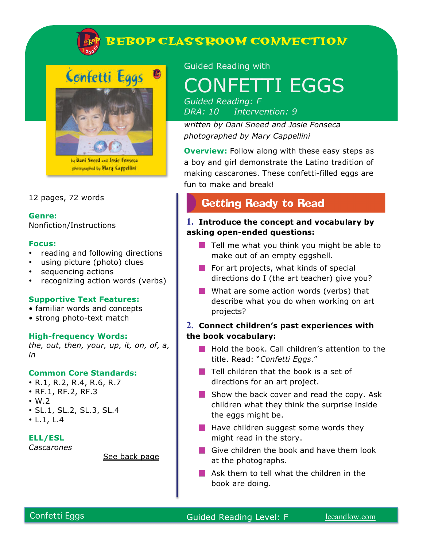

### 12 pages, 72 words

**Genre:**  Nonfiction/Instructions

#### **Focus:**

- reading and following directions
- using picture (photo) clues
- sequencing actions
- recognizing action words (verbs)

#### **Supportive Text Features:**

- familiar words and concepts
- strong photo-text match

#### **High-frequency Words:**

*the, out, then, your, up, it, on, of, a, in*

#### **Common Core Standards:**

- R.1, R.2, R.4, R.6, R.7
- RF.1, RF.2, RF.3
- $\cdot$  W.2
- SL.1, SL.2, SL.3, SL.4
- L.1, L.4

#### **ELL/ESL**

*Cascarones*

See back page

Guided Reading with

# CONFETTI EGGS

*Guided Reading: F DRA: 10 Intervention: 9*

*written by Dani Sneed and Josie Fonseca photographed by Mary Cappellini*

**Overview:** Follow along with these easy steps as a boy and girl demonstrate the Latino tradition of making cascarones. These confetti-filled eggs are fun to make and break!

## **Getting Ready to Read**

## **1. Introduce the concept and vocabulary by asking open-ended questions:**

- $\blacksquare$  Tell me what you think you might be able to make out of an empty eggshell.
- $\blacksquare$  For art projects, what kinds of special directions do I (the art teacher) give you?
- What are some action words (verbs) that describe what you do when working on art projects?

## **2. Connect children's past experiences with the book vocabulary:**

- **Hold the book. Call children's attention to the** title. Read: "*Confetti Eggs*."
- $\blacksquare$  Tell children that the book is a set of directions for an art project.
- $\blacksquare$  Show the back cover and read the copy. Ask children what they think the surprise inside the eggs might be.
- $\blacksquare$  Have children suggest some words they might read in the story.
- Give children the book and have them look at the photographs.
- **Ask them to tell what the children in the** book are doing.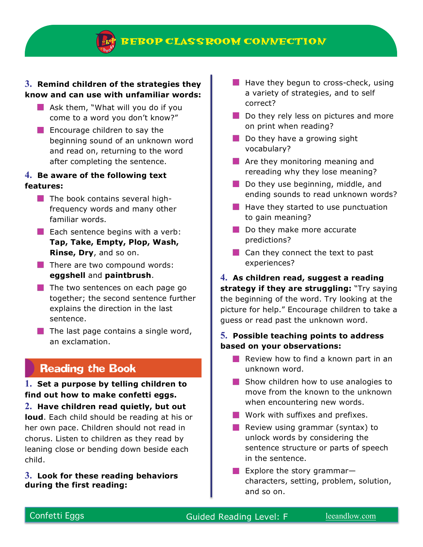**BEBOP CLASS ROOM CONNECTION** 

## **3. Remind children of the strategies they know and can use with unfamiliar words:**

- $\blacksquare$  Ask them, "What will you do if you come to a word you don't know?"
- $\blacksquare$  Encourage children to say the beginning sound of an unknown word and read on, returning to the word after completing the sentence.

## **4. Be aware of the following text features:**

- $\blacksquare$  The book contains several highfrequency words and many other familiar words.
- $\blacksquare$  Each sentence begins with a verb: **Tap, Take, Empty, Plop, Wash, Rinse, Dry**, and so on.
- $\blacksquare$  There are two compound words: **eggshell** and **paintbrush**.
- $\blacksquare$  The two sentences on each page go together; the second sentence further explains the direction in the last sentence.
- $\blacksquare$  The last page contains a single word, an exclamation.

## **Reading the Book**

## **1. Set a purpose by telling children to find out how to make confetti eggs.**

**2. Have children read quietly, but out loud**. Each child should be reading at his or her own pace. Children should not read in chorus. Listen to children as they read by leaning close or bending down beside each child.

### **3. Look for these reading behaviors during the first reading:**

- $\blacksquare$  Have they begun to cross-check, using a variety of strategies, and to self correct?
- Do they rely less on pictures and more on print when reading?
- $\blacksquare$  Do they have a growing sight vocabulary?
- **Are they monitoring meaning and** rereading why they lose meaning?
- $\blacksquare$  Do they use beginning, middle, and ending sounds to read unknown words?
- $\blacksquare$  Have they started to use punctuation to gain meaning?
- Do they make more accurate predictions?
- Can they connect the text to past experiences?

**4. As children read, suggest a reading strategy if they are struggling:** "Try saying the beginning of the word. Try looking at the picture for help." Encourage children to take a guess or read past the unknown word.

## **5. Possible teaching points to address based on your observations:**

- **Review how to find a known part in an** unknown word.
- Show children how to use analogies to move from the known to the unknown when encountering new words.
- **Work with suffixes and prefixes.**
- **Review using grammar (syntax) to** unlock words by considering the sentence structure or parts of speech in the sentence.
- Explore the story grammarcharacters, setting, problem, solution, and so on.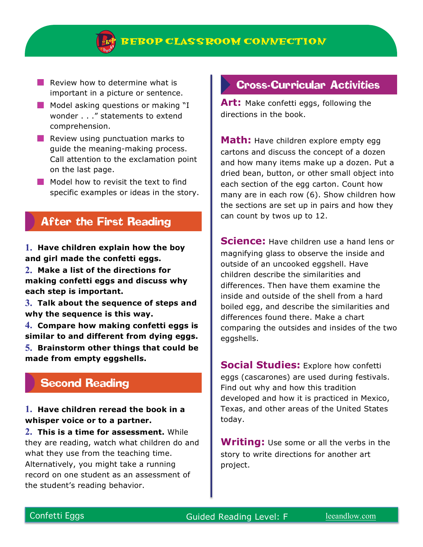

- $\blacksquare$  Review how to determine what is important in a picture or sentence.
- **Model asking questions or making "I** wonder . . ." statements to extend comprehension.
- $\blacksquare$  Review using punctuation marks to guide the meaning-making process. Call attention to the exclamation point on the last page.
- Model how to revisit the text to find specific examples or ideas in the story.

## **After the First Reading**

**1. Have children explain how the boy and girl made the confetti eggs.**

**2. Make a list of the directions for making confetti eggs and discuss why each step is important.** 

**3. Talk about the sequence of steps and why the sequence is this way.**

**4. Compare how making confetti eggs is similar to and different from dying eggs. 5. Brainstorm other things that could be made from empty eggshells.** 

## **Second Reading**

## **1. Have children reread the book in a whisper voice or to a partner.**

**2. This is a time for assessment.** While they are reading, watch what children do and what they use from the teaching time. Alternatively, you might take a running record on one student as an assessment of the student's reading behavior.

## **Cross-Curricular Activities**

**Art:** Make confetti eggs, following the directions in the book.

**Math:** Have children explore empty egg cartons and discuss the concept of a dozen and how many items make up a dozen. Put a dried bean, button, or other small object into each section of the egg carton. Count how many are in each row (6). Show children how the sections are set up in pairs and how they can count by twos up to 12.

**Science:** Have children use a hand lens or magnifying glass to observe the inside and outside of an uncooked eggshell. Have children describe the similarities and differences. Then have them examine the inside and outside of the shell from a hard boiled egg, and describe the similarities and differences found there. Make a chart comparing the outsides and insides of the two eggshells.

**Social Studies:** Explore how confetti eggs (cascarones) are used during festivals. Find out why and how this tradition developed and how it is practiced in Mexico, Texas, and other areas of the United States today.

**Writing:** Use some or all the verbs in the story to write directions for another art project.